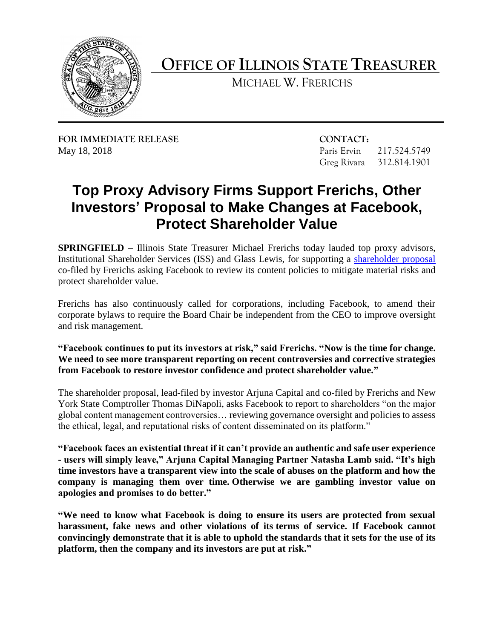

**OFFICE OF ILLINOIS STATE TREASURER** 

MICHAEL W. FRERICHS

**FOR IMMEDIATE RELEASE CONTACT:**  May 18, 2018 Paris Ervin 217.524.5749

Greg Rivara 312.814.1901

## **Top Proxy Advisory Firms Support Frerichs, Other Investors' Proposal to Make Changes at Facebook, Protect Shareholder Value**

Institutional Shareholder Services (ISS) and Glass Lewis, for supporting a shareholder proposal **SPRINGFIELD** – Illinois State Treasurer Michael Frerichs today lauded top proxy advisors, co-filed by Frerichs asking Facebook to review its content policies to mitigate material risks and protect shareholder value.

 Frerichs has also continuously called for corporations, including Facebook, to amend their corporate bylaws to require the Board Chair be independent from the CEO to improve oversight and risk management.

## **"Facebook continues to put its investors at risk," said Frerichs. "Now is the time for change. We need to see more transparent reporting on recent controversies and corrective strategies from Facebook to restore investor confidence and protect shareholder value."**

 global content management controversies… reviewing governance oversight and policies to assess The shareholder proposal, lead-filed by investor Arjuna Capital and co-filed by Frerichs and New York State Comptroller Thomas DiNapoli, asks Facebook to report to shareholders "on the major the ethical, legal, and reputational risks of content disseminated on its platform."

 **"Facebook faces an existential threat if it can't provide an authentic and safe user experience time investors have a transparent view into the scale of abuses on the platform and how the company is managing them over time. Otherwise we are gambling investor value on - users will simply leave," Arjuna Capital Managing Partner Natasha Lamb said. "It's high apologies and promises to do better."**

 **"We need to know what Facebook is doing to ensure its users are protected from sexual harassment, fake news and other violations of its terms of service. If Facebook cannot convincingly demonstrate that it is able to uphold the standards that it sets for the use of its platform, then the company and its investors are put at risk."**